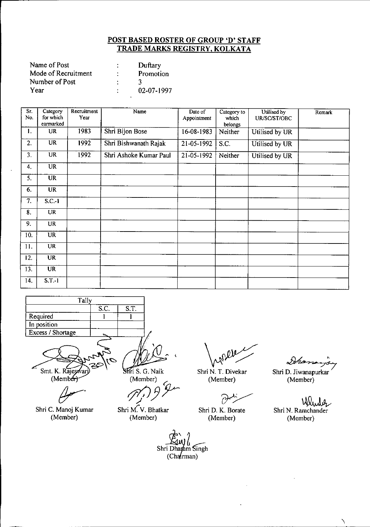| Name of Post        |   | Duftary    |
|---------------------|---|------------|
| Mode of Recruitment | ٠ | Promotion  |
| Number of Post      |   |            |
| Year                |   | 02-07-1997 |

| Sr.<br>No.                | Category<br>for which<br>earmarked | Recruitment<br>Year | Name                   | Date of<br>Appointment | Category to<br>which<br>belongs | Utilised by<br>UR/SC/ST/OBC | Remark |
|---------------------------|------------------------------------|---------------------|------------------------|------------------------|---------------------------------|-----------------------------|--------|
| 1.                        | <b>UR</b>                          | 1983                | Shri Bijon Bose        | 16-08-1983             | Neither                         | Utilised by UR              |        |
| 2.                        | $\overline{UR}$                    | 1992                | Shri Bishwanath Rajak  | 21-05-1992             | S.C.                            | Utilised by UR              |        |
| 3.                        | $\overline{\text{UR}}$             | 1992                | Shri Ashoke Kumar Paul | 21-05-1992             | Neither                         | Utilised by UR              |        |
| 4.                        | <b>UR</b>                          |                     |                        |                        |                                 |                             |        |
| 5.                        | <b>UR</b>                          |                     |                        |                        |                                 |                             |        |
| 6.                        | <b>UR</b>                          |                     |                        |                        |                                 |                             |        |
| $\overline{7}$ .          | $S.C.-I$                           |                     |                        |                        |                                 |                             |        |
| $\overline{\mathbf{8}}$ . | <b>UR</b>                          |                     |                        |                        |                                 |                             |        |
| 9.                        | <b>UR</b>                          |                     |                        |                        |                                 |                             |        |
| 10.                       | <b>UR</b>                          |                     |                        |                        |                                 |                             |        |
| 11.                       | <b>UR</b>                          |                     |                        |                        |                                 |                             |        |
| 12.                       | <b>UR</b>                          |                     |                        |                        |                                 |                             |        |
| 13.                       | <b>UR</b>                          |                     |                        |                        |                                 |                             |        |
| 14.                       | $S.T.-1$                           |                     |                        |                        |                                 |                             |        |

| Tally             |      |      |
|-------------------|------|------|
|                   | S.C. | S.T. |
| Required          |      |      |
| In position       |      |      |
| Excess / Shortage |      |      |
|                   |      |      |

Smt. K. Rajes яı (Member)

Shri C. Manoj Kumar (Member)

Shri S. G. Naik

(Member) *t7(/JJr*

**Shri M. V. Bhatka** (Member)

Shri N. T. Divekar (Member)

*(Y~*

Shri D. K. Borate (Member)

Ihan Shri D. Jiwanapurkar (Member)

Wender Shri N. Ramchander (Member)

 $\boldsymbol{\lambda}$ 

Shri Dharam Singh  $(Cha(rman))$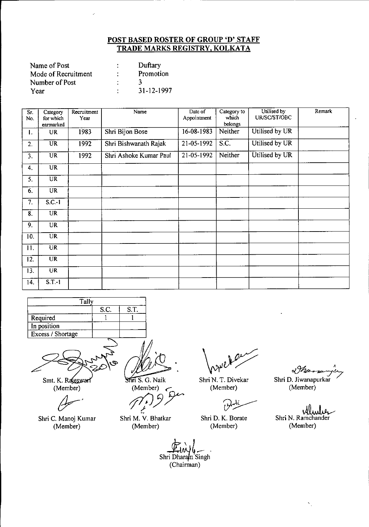| Name of Post        | Duftary    |
|---------------------|------------|
| Mode of Recruitment | Promotion  |
| Number of Post      |            |
| Year                | 31-12-1997 |

| Sr<br>No.      | Category<br>for which<br>earmarked | Recruitment<br>Year | Name                   | Date of<br>Appointment | Category to<br>which<br>belongs | Utilised by<br>UR/SC/ST/OBC | Remark |
|----------------|------------------------------------|---------------------|------------------------|------------------------|---------------------------------|-----------------------------|--------|
| $\mathbf{l}$ . | UR                                 | 1983                | Shri Bijon Bose        | 16-08-1983             | Neither                         | Utilised by UR              |        |
| 2.             | <b>UR</b>                          | 1992                | Shri Bishwanath Rajak  | 21-05-1992             | S.C.                            | Utilised by UR              |        |
| 3.             | <b>UR</b>                          | 1992                | Shri Ashoke Kumar Paul | 21-05-1992             | Neither                         | Utilised by UR              |        |
| 4.             | UR                                 |                     |                        |                        |                                 |                             |        |
| 5.             | <b>UR</b>                          |                     |                        |                        |                                 |                             |        |
| 6.             | <b>UR</b>                          |                     |                        |                        |                                 |                             |        |
| 7.             | $S.C.-1$                           |                     |                        |                        |                                 |                             |        |
| 8.             | <b>UR</b>                          |                     |                        |                        |                                 |                             |        |
| 9.             | <b>UR</b>                          |                     |                        |                        |                                 |                             |        |
| 10.            | <b>UR</b>                          |                     |                        |                        |                                 |                             |        |
| 11.            | <b>UR</b>                          |                     |                        |                        |                                 |                             |        |
| 12.            | <b>UR</b>                          |                     |                        |                        |                                 |                             |        |
| 13.            | <b>UR</b>                          |                     |                        |                        |                                 |                             |        |
| 14.            | $S$ $T - 1$                        |                     |                        |                        |                                 |                             |        |

| Tally             |      |      |
|-------------------|------|------|
|                   | S.C. | S.T. |
| Required          |      |      |
| In position       |      |      |
| Excess / Shortage |      |      |
|                   |      |      |

Smt. K. Rajeswari (Member)

Shri C. Manoj Kumar (Member)

Shri S. G. Naik

(Member)

 $($ Welliber)<br> $($ )  $9$ 

Shri M. V. Bhatkar (Member)

 $\alpha$ 

Shri N. T. Divekar (Member)

 $\partial^k$ 

Shri D. K. Borate (Member)

 $\sqrt{n}$ Shri D. Jiwanapurkar / (Member)

.~ Shn N. Ramchander W  $\boldsymbol{p}$ (Member)

 $\hat{\Sigma}_1$ 

*dr..;* '4~. Shri Dharam Singh (Chairman)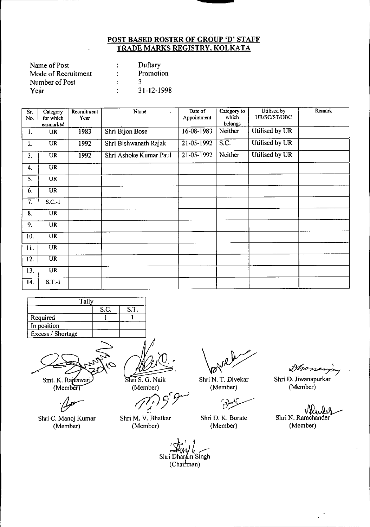| Name of Post        |   | Duftary    |
|---------------------|---|------------|
| Mode of Recruitment |   | Promotion  |
| Number of Post      |   |            |
| Year                | ٠ | 31-12-1998 |

| $\overline{\text{Sr}}$ .<br>No. | Category<br>for which<br>earmarked | Recruitment<br>Year | Name<br>$\mathbf{r}$   | Date of<br>Appointment | Category to<br>which<br>belongs | Utilised by<br>UR/SC/ST/OBC | Remark |
|---------------------------------|------------------------------------|---------------------|------------------------|------------------------|---------------------------------|-----------------------------|--------|
| 1.                              | <b>UR</b>                          | 1983                | Shri Bijon Bose        | 16-08-1983             | Neither                         | Utilised by UR              |        |
| 2.                              | <b>UR</b>                          | 1992                | Shri Bishwanath Rajak  | 21-05-1992             | S.C.                            | Utilised by UR              |        |
| 3.                              | <b>UR</b>                          | 1992                | Shri Ashoke Kumar Paul | 21-05-1992             | Neither                         | Utilised by UR              |        |
| 4.                              | <b>UR</b>                          |                     |                        |                        |                                 |                             |        |
| 5.                              | <b>UR</b>                          |                     |                        |                        |                                 |                             |        |
| 6.                              | <b>UR</b>                          |                     |                        |                        |                                 |                             |        |
| 7.                              | $S.C.-1$                           |                     |                        |                        |                                 |                             |        |
| 8.                              | <b>UR</b>                          |                     |                        |                        |                                 |                             |        |
| 9.                              | <b>UR</b>                          |                     |                        |                        |                                 |                             |        |
| 10.                             | <b>UR</b>                          |                     |                        |                        |                                 |                             |        |
| 11.                             | $\overline{\text{UR}}$             |                     |                        |                        |                                 |                             |        |
| 12.                             | <b>UR</b>                          |                     |                        |                        |                                 |                             |        |
| 13.                             | <b>UR</b>                          |                     |                        |                        |                                 |                             |        |
| 14.                             | $S.T.-1$                           |                     |                        |                        |                                 |                             |        |

| Tally             |      |      |
|-------------------|------|------|
|                   | S.C. | S.T. |
| Required          |      |      |
| In position       |      |      |
| Excess / Shortage |      |      |
|                   |      |      |

Smt. K. Rajeswarj  $(Member)$ 

*.(}r'*

Shri C. Manoj Kumar (Member)

Shri S. G. Naik

(Member)

*ij1JJ3r~*

Shri M. V. Bhatkar (Member)

Shri Dharam Singh<br>(Chairman)

Ø

Shri N. T. Divekar (Member)

رم

Shri D. K. Borate (Member)

Dhana

Shri D. Jiwanapurkar (Member)

Shri N. Ramchander (Member)

 $\mathbb{R}^3$ 

 $\sim$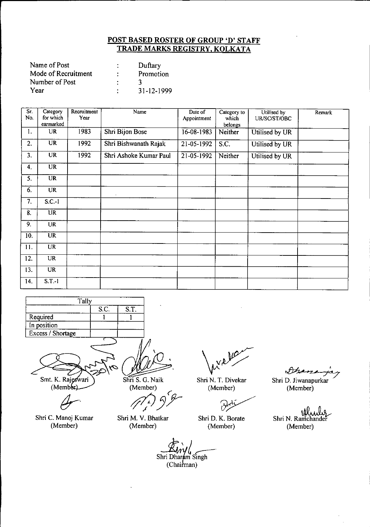| Name of Post        | Duftary    |
|---------------------|------------|
| Mode of Recruitment | Promotion  |
| Number of Post      |            |
| Year                | 31-12-1999 |

| Sr.<br>No.                | Category<br>for which<br>earmarked | Recruitment<br>Year | Name                   | Date of<br>Appointment | Category to<br>which<br>belongs | Utilised by<br>UR/SC/ST/OBC | Remark |
|---------------------------|------------------------------------|---------------------|------------------------|------------------------|---------------------------------|-----------------------------|--------|
| 1.                        | <b>UR</b>                          | 1983                | Shri Bijon Bose        | 16-08-1983             | Neither                         | Utilised by UR              |        |
| 2.                        | <b>UR</b>                          | 1992                | Shri Bishwanath Rajak  | 21-05-1992             | S.C.                            | Utilised by UR              |        |
| 3.                        | <b>UR</b>                          | 1992                | Shri Ashoke Kumar Paul | 21-05-1992             | Neither                         | Utilised by UR              |        |
| 4.                        | <b>UR</b>                          |                     |                        |                        |                                 |                             |        |
| 5.                        | $\overline{UR}$                    |                     |                        |                        |                                 |                             |        |
| 6.                        | <b>UR</b>                          |                     |                        |                        |                                 |                             |        |
| 7.                        | $S.C.-1$                           |                     |                        |                        |                                 |                             |        |
| $\overline{\mathbf{8}}$ . | $\overline{\text{UR}}$             |                     |                        |                        |                                 |                             |        |
| 9.                        | <b>UR</b>                          |                     |                        |                        |                                 |                             |        |
| 10.                       | $\overline{UR}$                    |                     |                        |                        |                                 |                             |        |
| 11.                       | <b>UR</b>                          |                     |                        |                        |                                 |                             |        |
| 12.                       | UR                                 |                     |                        |                        |                                 |                             |        |
| 13.                       | <b>UR</b>                          |                     |                        |                        |                                 |                             |        |
| 14.                       | $S.T.-1$                           |                     |                        |                        |                                 |                             |        |

| Tally             |  |  |  |  |  |
|-------------------|--|--|--|--|--|
| S.T.<br>S.C.      |  |  |  |  |  |
| Required          |  |  |  |  |  |
| In position       |  |  |  |  |  |
| Excess / Shortage |  |  |  |  |  |
|                   |  |  |  |  |  |

Smt. K. Rajeswari<br>(Member)

*(Jr.*

Shri C. Manoj Kumar (Member)

Shri S. G. Naik (Member)

*77/JJ'T*

Shri M. V. Bhatkar (Member)

 $\mathcal{P}$ 

Shri N. T. Divekar (Member)

 $\partial z$ 

Shri D. K. Borate (Member)

Dhane Shri D. Jiwanapurkar (Member)

Shri N. Ramchander (Member)

*sample*<br>Shri Dharam Singh<br>(Chairman)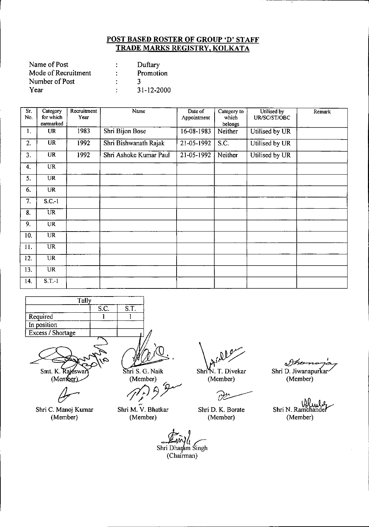| Name of Post        | Duftary    |
|---------------------|------------|
| Mode of Recruitment | Promotion  |
| Number of Post      |            |
| Year                | 31-12-2000 |

| Sr.<br>No. | Category<br>for which<br>earmarked | Recruitment<br>Year | Name                   | Date of<br>Appointment | Category to<br>which<br>belongs | Utilised by<br>UR/SC/ST/OBC | Remark |
|------------|------------------------------------|---------------------|------------------------|------------------------|---------------------------------|-----------------------------|--------|
| 1.         | <b>UR</b>                          | 1983                | Shri Bijon Bose        | $16 - 08 - 1983$       | Neither                         | Utilised by UR              |        |
| 2.         | <b>UR</b>                          | 1992                | Shri Bishwanath Rajak  | 21-05-1992             | S.C.                            | Utilised by UR              |        |
| 3.         | <b>UR</b>                          | 1992                | Shri Ashoke Kumar Paul | 21-05-1992             | Neither                         | Utilised by UR              |        |
| 4.         | <b>UR</b>                          |                     |                        |                        |                                 |                             |        |
| 5.         | <b>UR</b>                          |                     |                        |                        |                                 |                             |        |
| 6.         | <b>UR</b>                          |                     |                        |                        |                                 |                             |        |
| 7.         | $S.C.-1$                           |                     |                        |                        |                                 |                             |        |
| 8.         | $\overline{\text{UR}}$             |                     |                        |                        |                                 |                             |        |
| 9.         | <b>UR</b>                          |                     |                        |                        |                                 |                             |        |
| 10.        | $\overline{\text{UR}}$             |                     |                        |                        |                                 |                             |        |
| 11.        | UR                                 |                     |                        |                        |                                 |                             |        |
| 12.        | <b>UR</b>                          |                     |                        |                        |                                 |                             |        |
| 13.        | <b>UR</b>                          |                     |                        |                        |                                 |                             |        |
| 14.        | $S.T.-1$                           |                     |                        |                        |                                 |                             |        |

| Tally             |      |      |
|-------------------|------|------|
|                   | S.C. | S.T. |
| Required          |      |      |
| In position       |      |      |
| Excess / Shortage |      |      |
|                   |      |      |

Smt. K. Rajeswa (Member)

Shri C. Manoj Kumar (Member)

Shri S. G. Naik (Member) *~3r*

.<br>مبر<br>م Shri M. V. Bhatkar (Member)

Shri<sup>W</sup>. T. Divekar

(Member)

(Member)

Ů Shri D. K. Borate

Shri N. Ramchande

(Member)

Shri D. Jiwanapurkar (Member)

Dhe

Shri Dharam Singh (Chairman)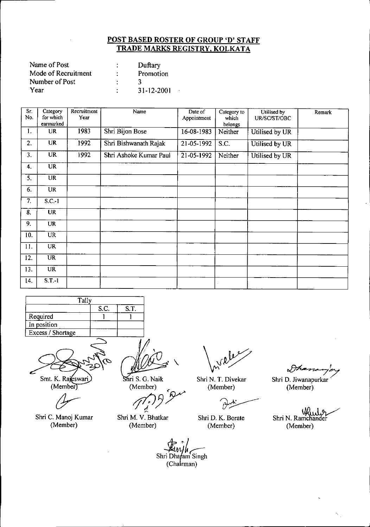| Name of Post        |    | Duftary          |
|---------------------|----|------------------|
| Mode of Recruitment | ٠  | Promotion        |
| Number of Post      |    |                  |
| Year                | ٠. | $31 - 12 - 2001$ |

| Sr.<br>No.       | Category<br>for which<br>earmarked | Recruitment<br>Year | Name                   | Date of<br>Appointment   | Category to<br>which<br>belongs | Utilised by<br>UR/SC/ST/OBC | Remark |
|------------------|------------------------------------|---------------------|------------------------|--------------------------|---------------------------------|-----------------------------|--------|
| 1.               | <b>UR</b>                          | 1983                | Shri Bijon Bose        | 16-08-1983               | Neither                         | Utilised by UR              |        |
| 2.               | <b>UR</b>                          | 1992                | Shri Bishwanath Rajak  | 21-05-1992               | S.C.                            | Utilised by UR              |        |
| 3.               | $\overline{\text{UR}}$             | 1992                | Shri Ashoke Kumar Paul | $\overline{21}$ -05-1992 | Neither                         | Utilised by UR              |        |
| 4.               | $\overline{UR}$                    |                     |                        |                          |                                 |                             |        |
| 5.               | <b>UR</b>                          |                     |                        |                          |                                 |                             |        |
| 6.               | UR                                 |                     |                        |                          |                                 |                             |        |
| $\overline{7}$ . | $S.C.-1$                           |                     |                        |                          |                                 |                             |        |
| 8.               | $\overline{UR}$                    |                     |                        |                          |                                 |                             |        |
| 9.               | <b>UR</b>                          |                     |                        |                          |                                 |                             |        |
| 10.              | <b>UR</b>                          |                     |                        |                          |                                 |                             |        |
| 11.              | UR <sup>1</sup>                    |                     |                        |                          |                                 |                             |        |
| 12.              | $\overline{\text{UR}}$             |                     |                        |                          |                                 |                             |        |
| 13.              | <b>UR</b>                          |                     |                        |                          |                                 |                             |        |
| 14.              | $S.T.-1$                           |                     |                        |                          |                                 |                             |        |

| Tally             |      |      |
|-------------------|------|------|
|                   | S.C. | S.T. |
| Required          |      |      |
| In position       |      |      |
| Excess / Shortage |      |      |
|                   |      |      |

Smt. K. Rajeswari (Member)

*(Y-'*

Shri C. Manoj Kumar (Member)

 $\mathbf{r}$ 

Shri S. G. Naik (Member)

*!flPJY*

Shri M. V. Bhatkar (Member)

*~.t* Shri Dhafam Singh (Chalrman)

Shri N. T. Divekar (Member)

بيركن

Shri D. K. Borate (Member)

*o!Jk-."'/7* Shri D. Jiwanapurkar

(Member)

~. Shri N. Ramchande (Member)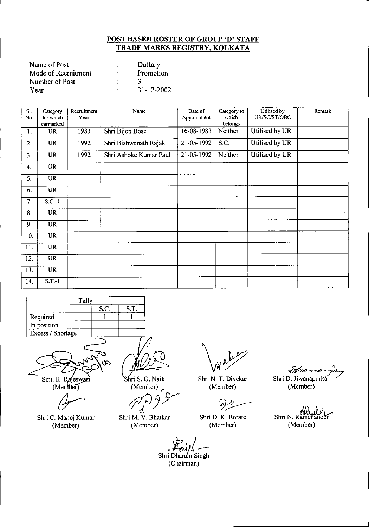| Name of Post        |   | Duftary          |
|---------------------|---|------------------|
| Mode of Recruitment |   | Promotion        |
| Number of Post      |   |                  |
| Year                | ٠ | $31 - 12 - 2002$ |

| Sr.<br>No.        | Category<br>for which  | Recruitment<br>Year | Name                   | Date of<br>Appointment | Category to<br>which | Utilised by<br>UR/SC/ST/OBC | Remark |
|-------------------|------------------------|---------------------|------------------------|------------------------|----------------------|-----------------------------|--------|
|                   | earmarked              |                     |                        |                        | belongs              |                             |        |
| 1.                | <b>UR</b>              | 1983                | Shri Bijon Bose        | 16-08-1983             | Neither              | Utilised by UR              |        |
| 2.                | <b>UR</b>              | 1992                | Shri Bishwanath Rajak  | 21-05-1992             | S.C.                 | Utilised by UR              |        |
| 3.                | <b>UR</b>              | 1992                | Shri Ashoke Kumar Paul | 21-05-1992             | Neither              | Utilised by UR              |        |
| 4.                | UR                     |                     |                        |                        |                      |                             |        |
| 5.                | <b>UR</b>              |                     |                        |                        |                      |                             |        |
| 6.                | <b>UR</b>              |                     |                        |                        |                      |                             |        |
| 7.                | S.C.1                  |                     |                        |                        |                      |                             |        |
| 8.                | $\overline{\text{UR}}$ |                     |                        |                        |                      |                             |        |
| 9.                | <b>UR</b>              |                     |                        |                        |                      |                             |        |
| 10.               | <b>UR</b>              |                     |                        |                        |                      |                             |        |
| 11.               | <b>UR</b>              |                     |                        |                        |                      |                             |        |
| 12.               | $\overline{\text{UR}}$ |                     |                        |                        |                      |                             |        |
| $\overline{13}$ . | <b>UR</b>              |                     |                        |                        |                      |                             |        |
| 14.               | $S.T.-1$               |                     |                        |                        |                      |                             |        |

| Tally             |      |      |
|-------------------|------|------|
|                   | S.C. | S.T. |
| Required          |      |      |
| In position       |      |      |
| Excess / Shortage |      |      |
|                   |      |      |

Smt. K. (Me

 $\mathcal C$ 

Shri C. Manoj Kumar (Member)

ri S. G. Naik (Member)

*ifl/JJY*

Shri M. V. Bhatkar (Member)

*E.;rt~* Shri Dharam Singh (Chairman)

عملا

Shri N. T. Divekar (Member)

 $\partial t$ 

Shri D. K. Borate (Member)

 $8$ pane

Shri D. Jiwanapurkar (Member)

Shri N. Ramchander (Member)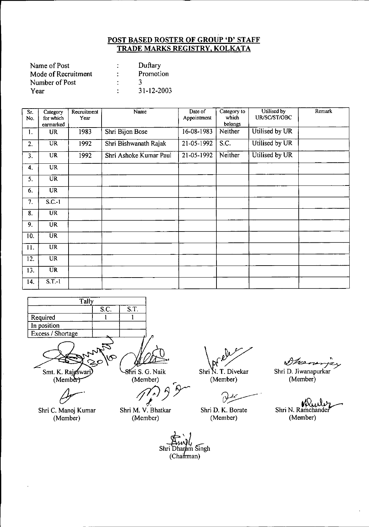| Name of Post        |   | Duftary    |
|---------------------|---|------------|
| Mode of Recruitment | ÷ | Promotion  |
| Number of Post      |   |            |
| Year                |   | 31-12-2003 |

| $\overline{\text{Sr}}$<br>No. | Category<br>for which  | Recruitment<br>Year | Name                   | Date of<br>Appointment | Category to<br>which | Utilised by<br>UR/SC/ST/OBC | Remark |
|-------------------------------|------------------------|---------------------|------------------------|------------------------|----------------------|-----------------------------|--------|
|                               | earmarked              |                     |                        |                        | belongs              |                             |        |
| 1.                            | <b>UR</b>              | 1983                | Shri Bijon Bose        | 16-08-1983             | Neither              | Utilised by UR              |        |
| 2.                            | <b>UR</b>              | 1992                | Shri Bishwanath Rajak  | 21-05-1992             | S.C.                 | Utilised by UR              |        |
| 3 <sub>1</sub>                | <b>UR</b>              | 1992                | Shri Ashoke Kumar Paul | 21-05-1992             | Neither              | Utilised by UR              |        |
| 4.                            | <b>UR</b>              |                     |                        |                        |                      |                             |        |
| 5.                            | $\overline{\text{UR}}$ |                     |                        |                        |                      |                             |        |
| 6.                            | <b>UR</b>              |                     |                        |                        |                      |                             |        |
| 7.                            | S.C.1                  |                     |                        |                        |                      |                             |        |
| $\overline{8}$ .              | <b>UR</b>              |                     |                        |                        |                      |                             |        |
| 9.                            | <b>UR</b>              |                     |                        |                        |                      |                             |        |
| 10.                           | <b>UR</b>              |                     |                        |                        |                      |                             |        |
| 11.                           | <b>UR</b>              |                     |                        |                        |                      |                             |        |
| 12.                           | <b>UR</b>              |                     |                        |                        |                      |                             |        |
| 13.                           | <b>UR</b>              |                     |                        |                        |                      |                             |        |
| 14.                           | $S.T. -1$              |                     |                        |                        |                      |                             |        |

| Tally             |      |      |
|-------------------|------|------|
|                   | S.C. | S.T. |
| Required          |      |      |
| In position       |      |      |
| Excess / Shortage |      |      |

Smt. K. Rajeswa  $(Member)$ 

Shri C. Manoj Kumar

(Member)

8hri S. G. Naik (Member)

(Member)

;fTJ*JY'* م (م)<br>Shri M. V. Bhatka

(Member)

Shri D. K. Borate (Member)

Shri N. T. Divekar

Sheemanjay Shri D. Jiwanapurkar (Member)

Shri N. Ramchander (Member)

am Singh sm~Lingh

(Chairman)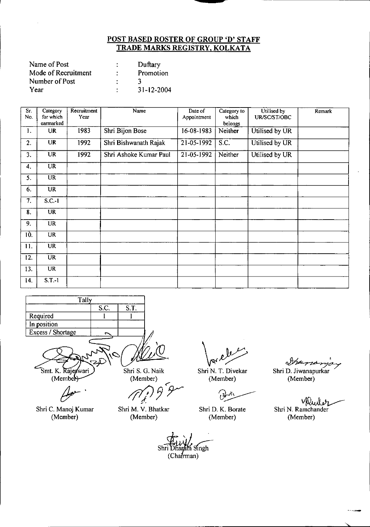| Name of Post        | Duftary          |
|---------------------|------------------|
| Mode of Recruitment | Promotion        |
| Number of Post      |                  |
| Year                | $31 - 12 - 2004$ |

| Sг.<br>No.       | Category<br>for which<br>earmarked | Recruitment<br>Year | Name                   | Date of<br>Appointment | Category to<br>which<br>belongs | Utilised by<br>UR/SC/ST/OBC | Remark |
|------------------|------------------------------------|---------------------|------------------------|------------------------|---------------------------------|-----------------------------|--------|
| 1.               | <b>UR</b>                          | 1983                | Shri Bijon Bose        | 16-08-1983             | Neither                         | Utilised by UR              |        |
| 2.               | <b>UR</b>                          | 1992                | Shri Bishwanath Rajak  | 21-05-1992             | $\overline{S}$ .C.              | Utilised by UR              |        |
| 3.               | $\overline{\text{UR}}$             | 1992                | Shri Ashoke Kumar Paul | 21-05-1992             | Neither                         | Utilised by UR              |        |
| 4.               | UR                                 |                     |                        |                        |                                 |                             |        |
| 5.               | UR                                 |                     |                        |                        |                                 |                             |        |
| 6.               | <b>UR</b>                          |                     |                        |                        |                                 |                             |        |
| $\overline{7}$ . | $S.C.-1$                           |                     |                        |                        |                                 |                             |        |
| 8.               | <b>UR</b>                          |                     |                        |                        |                                 |                             |        |
| 9.               | UR                                 |                     |                        |                        |                                 |                             |        |
| 10.              | <b>UR</b>                          |                     |                        |                        |                                 |                             |        |
| 11.              | <b>UR</b>                          |                     |                        |                        |                                 |                             |        |
| 12.              | <b>UR</b>                          |                     |                        |                        |                                 |                             |        |
| 13.              | UR                                 |                     |                        |                        |                                 |                             |        |
| 14.              | $S.T.-1$                           |                     |                        |                        |                                 |                             |        |

| Tally             |      |      |
|-------------------|------|------|
|                   | S.C. | S.T. |
| Required          |      |      |
| In position       |      |      |
| Excess / Shortage |      |      |
|                   |      |      |

Smt. K. Rajeswar  $(Membef)$ 

Shri C. Manoj Kumar (Member)

Shri M. V. Bhatkar (Member)

Shri S. G. Naik

(Member)

Shri N. T. Divekar (Member)

Shri D. K. Borate (Member)

(Member)

*cJY~7* Shri D. Jiwanapurkar

عمل الملكانيا<br>Shri N. Ramchander (Member)

'>.

Shri Dharam Singh  $(Cha**f**man)$